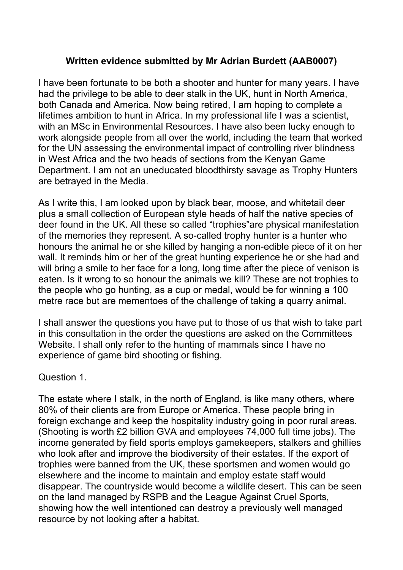#### **Written evidence submitted by Mr Adrian Burdett (AAB0007)**

I have been fortunate to be both a shooter and hunter for many years. I have had the privilege to be able to deer stalk in the UK, hunt in North America, both Canada and America. Now being retired, I am hoping to complete a lifetimes ambition to hunt in Africa. In my professional life I was a scientist, with an MSc in Environmental Resources. I have also been lucky enough to work alongside people from all over the world, including the team that worked for the UN assessing the environmental impact of controlling river blindness in West Africa and the two heads of sections from the Kenyan Game Department. I am not an uneducated bloodthirsty savage as Trophy Hunters are betrayed in the Media.

As I write this, I am looked upon by black bear, moose, and whitetail deer plus a small collection of European style heads of half the native species of deer found in the UK. All these so called "trophies"are physical manifestation of the memories they represent. A so-called trophy hunter is a hunter who honours the animal he or she killed by hanging a non-edible piece of it on her wall. It reminds him or her of the great hunting experience he or she had and will bring a smile to her face for a long, long time after the piece of venison is eaten. Is it wrong to so honour the animals we kill? These are not trophies to the people who go hunting, as a cup or medal, would be for winning a 100 metre race but are mementoes of the challenge of taking a quarry animal.

I shall answer the questions you have put to those of us that wish to take part in this consultation in the order the questions are asked on the Committees Website. I shall only refer to the hunting of mammals since I have no experience of game bird shooting or fishing.

Question 1.

The estate where I stalk, in the north of England, is like many others, where 80% of their clients are from Europe or America. These people bring in foreign exchange and keep the hospitality industry going in poor rural areas. (Shooting is worth £2 billion GVA and employees 74,000 full time jobs). The income generated by field sports employs gamekeepers, stalkers and ghillies who look after and improve the biodiversity of their estates. If the export of trophies were banned from the UK, these sportsmen and women would go elsewhere and the income to maintain and employ estate staff would disappear. The countryside would become a wildlife desert. This can be seen on the land managed by RSPB and the League Against Cruel Sports, showing how the well intentioned can destroy a previously well managed resource by not looking after a habitat.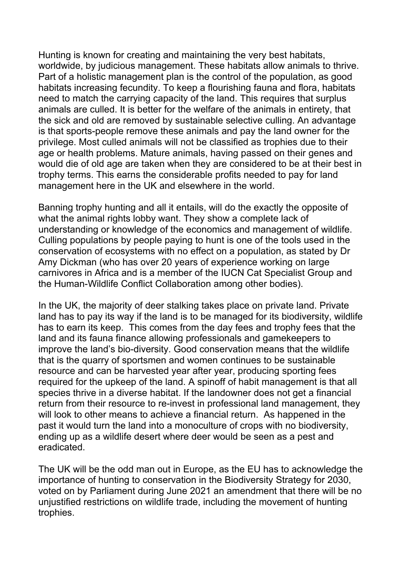Hunting is known for creating and maintaining the very best habitats, worldwide, by judicious management. These habitats allow animals to thrive. Part of a holistic management plan is the control of the population, as good habitats increasing fecundity. To keep a flourishing fauna and flora, habitats need to match the carrying capacity of the land. This requires that surplus animals are culled. It is better for the welfare of the animals in entirety, that the sick and old are removed by sustainable selective culling. An advantage is that sports-people remove these animals and pay the land owner for the privilege. Most culled animals will not be classified as trophies due to their age or health problems. Mature animals, having passed on their genes and would die of old age are taken when they are considered to be at their best in trophy terms. This earns the considerable profits needed to pay for land management here in the UK and elsewhere in the world.

Banning trophy hunting and all it entails, will do the exactly the opposite of what the animal rights lobby want. They show a complete lack of understanding or knowledge of the economics and management of wildlife. Culling populations by people paying to hunt is one of the tools used in the conservation of ecosystems with no effect on a population, as stated by Dr Amy Dickman (who has over 20 years of experience working on large carnivores in Africa and is a member of the IUCN Cat Specialist Group and the Human-Wildlife Conflict Collaboration among other bodies).

In the UK, the majority of deer stalking takes place on private land. Private land has to pay its way if the land is to be managed for its biodiversity, wildlife has to earn its keep. This comes from the day fees and trophy fees that the land and its fauna finance allowing professionals and gamekeepers to improve the land's bio-diversity. Good conservation means that the wildlife that is the quarry of sportsmen and women continues to be sustainable resource and can be harvested year after year, producing sporting fees required for the upkeep of the land. A spinoff of habit management is that all species thrive in a diverse habitat. If the landowner does not get a financial return from their resource to re-invest in professional land management, they will look to other means to achieve a financial return. As happened in the past it would turn the land into a monoculture of crops with no biodiversity, ending up as a wildlife desert where deer would be seen as a pest and eradicated.

The UK will be the odd man out in Europe, as the EU has to acknowledge the importance of hunting to conservation in the Biodiversity Strategy for 2030, voted on by Parliament during June 2021 an amendment that there will be no unjustified restrictions on wildlife trade, including the movement of hunting trophies.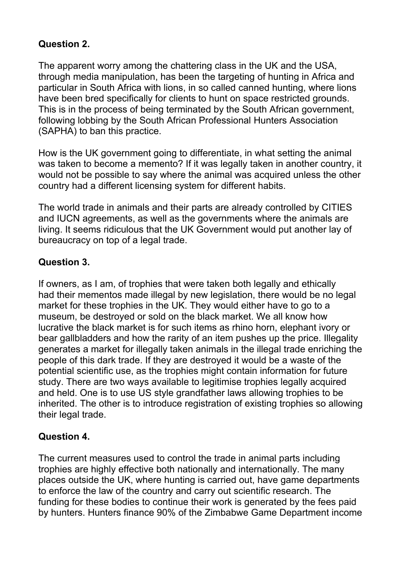### **Question 2.**

The apparent worry among the chattering class in the UK and the USA, through media manipulation, has been the targeting of hunting in Africa and particular in South Africa with lions, in so called canned hunting, where lions have been bred specifically for clients to hunt on space restricted grounds. This is in the process of being terminated by the South African government, following lobbing by the South African Professional Hunters Association (SAPHA) to ban this practice.

How is the UK government going to differentiate, in what setting the animal was taken to become a memento? If it was legally taken in another country, it would not be possible to say where the animal was acquired unless the other country had a different licensing system for different habits.

The world trade in animals and their parts are already controlled by CITIES and IUCN agreements, as well as the governments where the animals are living. It seems ridiculous that the UK Government would put another lay of bureaucracy on top of a legal trade.

# **Question 3.**

If owners, as I am, of trophies that were taken both legally and ethically had their mementos made illegal by new legislation, there would be no legal market for these trophies in the UK. They would either have to go to a museum, be destroyed or sold on the black market. We all know how lucrative the black market is for such items as rhino horn, elephant ivory or bear gallbladders and how the rarity of an item pushes up the price. Illegality generates a market for illegally taken animals in the illegal trade enriching the people of this dark trade. If they are destroyed it would be a waste of the potential scientific use, as the trophies might contain information for future study. There are two ways available to legitimise trophies legally acquired and held. One is to use US style grandfather laws allowing trophies to be inherited. The other is to introduce registration of existing trophies so allowing their legal trade.

### **Question 4.**

The current measures used to control the trade in animal parts including trophies are highly effective both nationally and internationally. The many places outside the UK, where hunting is carried out, have game departments to enforce the law of the country and carry out scientific research. The funding for these bodies to continue their work is generated by the fees paid by hunters. Hunters finance 90% of the Zimbabwe Game Department income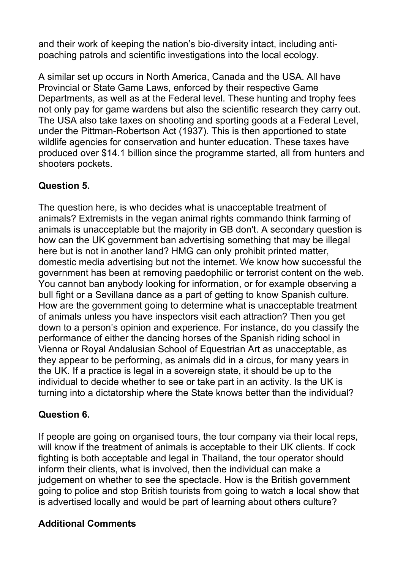and their work of keeping the nation's bio-diversity intact, including antipoaching patrols and scientific investigations into the local ecology.

A similar set up occurs in North America, Canada and the USA. All have Provincial or State Game Laws, enforced by their respective Game Departments, as well as at the Federal level. These hunting and trophy fees not only pay for game wardens but also the scientific research they carry out. The USA also take taxes on shooting and sporting goods at a Federal Level, under the Pittman-Robertson Act (1937). This is then apportioned to state wildlife agencies for conservation and hunter education. These taxes have produced over \$14.1 billion since the programme started, all from hunters and shooters pockets.

# **Question 5.**

The question here, is who decides what is unacceptable treatment of animals? Extremists in the vegan animal rights commando think farming of animals is unacceptable but the majority in GB don't. A secondary question is how can the UK government ban advertising something that may be illegal here but is not in another land? HMG can only prohibit printed matter, domestic media advertising but not the internet. We know how successful the government has been at removing paedophilic or terrorist content on the web. You cannot ban anybody looking for information, or for example observing a bull fight or a Sevillana dance as a part of getting to know Spanish culture. How are the government going to determine what is unacceptable treatment of animals unless you have inspectors visit each attraction? Then you get down to a person's opinion and experience. For instance, do you classify the performance of either the dancing horses of the Spanish riding school in Vienna or Royal Andalusian School of Equestrian Art as unacceptable, as they appear to be performing, as animals did in a circus, for many years in the UK. If a practice is legal in a sovereign state, it should be up to the individual to decide whether to see or take part in an activity. Is the UK is turning into a dictatorship where the State knows better than the individual?

### **Question 6.**

If people are going on organised tours, the tour company via their local reps, will know if the treatment of animals is acceptable to their UK clients. If cock fighting is both acceptable and legal in Thailand, the tour operator should inform their clients, what is involved, then the individual can make a judgement on whether to see the spectacle. How is the British government going to police and stop British tourists from going to watch a local show that is advertised locally and would be part of learning about others culture?

### **Additional Comments**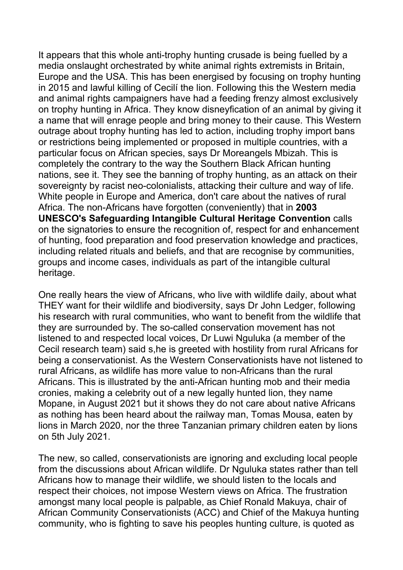It appears that this whole anti-trophy hunting crusade is being fuelled by a media onslaught orchestrated by white animal rights extremists in Britain, Europe and the USA. This has been energised by focusing on trophy hunting in 2015 and lawful killing of Cecilí the lion. Following this the Western media and animal rights campaigners have had a feeding frenzy almost exclusively on trophy hunting in Africa. They know disneyfication of an animal by giving it a name that will enrage people and bring money to their cause. This Western outrage about trophy hunting has led to action, including trophy import bans or restrictions being implemented or proposed in multiple countries, with a particular focus on African species, says Dr Moreangels Mbizah. This is completely the contrary to the way the Southern Black African hunting nations, see it. They see the banning of trophy hunting, as an attack on their sovereignty by racist neo-colonialists, attacking their culture and way of life. White people in Europe and America, don't care about the natives of rural Africa. The non-Africans have forgotten (conveniently) that in **2003 UNESCO's Safeguarding Intangible Cultural Heritage Convention** calls on the signatories to ensure the recognition of, respect for and enhancement of hunting, food preparation and food preservation knowledge and practices, including related rituals and beliefs, and that are recognise by communities, groups and income cases, individuals as part of the intangible cultural heritage.

One really hears the view of Africans, who live with wildlife daily, about what THEY want for their wildlife and biodiversity, says Dr John Ledger, following his research with rural communities, who want to benefit from the wildlife that they are surrounded by. The so-called conservation movement has not listened to and respected local voices, Dr Luwi Nguluka (a member of the Cecil research team) said s,he is greeted with hostility from rural Africans for being a conservationist. As the Western Conservationists have not listened to rural Africans, as wildlife has more value to non-Africans than the rural Africans. This is illustrated by the anti-African hunting mob and their media cronies, making a celebrity out of a new legally hunted lion, they name Mopane, in August 2021 but it shows they do not care about native Africans as nothing has been heard about the railway man, Tomas Mousa, eaten by lions in March 2020, nor the three Tanzanian primary children eaten by lions on 5th July 2021.

The new, so called, conservationists are ignoring and excluding local people from the discussions about African wildlife. Dr Nguluka states rather than tell Africans how to manage their wildlife, we should listen to the locals and respect their choices, not impose Western views on Africa. The frustration amongst many local people is palpable, as Chief Ronald Makuya, chair of African Community Conservationists (ACC) and Chief of the Makuya hunting community, who is fighting to save his peoples hunting culture, is quoted as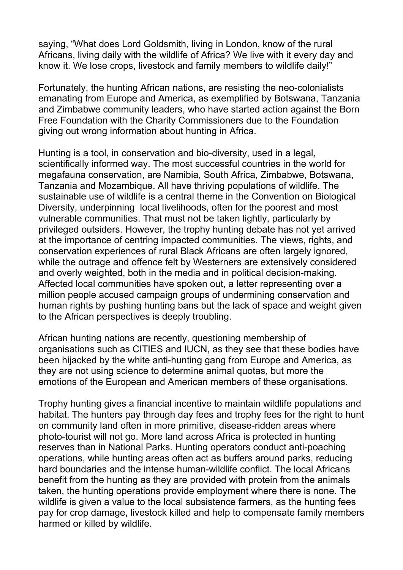saying, "What does Lord Goldsmith, living in London, know of the rural Africans, living daily with the wildlife of Africa? We live with it every day and know it. We lose crops, livestock and family members to wildlife daily!"

Fortunately, the hunting African nations, are resisting the neo-colonialists emanating from Europe and America, as exemplified by Botswana, Tanzania and Zimbabwe community leaders, who have started action against the Born Free Foundation with the Charity Commissioners due to the Foundation giving out wrong information about hunting in Africa.

Hunting is a tool, in conservation and bio-diversity, used in a legal, scientifically informed way. The most successful countries in the world for megafauna conservation, are Namibia, South Africa, Zimbabwe, Botswana, Tanzania and Mozambique. All have thriving populations of wildlife. The sustainable use of wildlife is a central theme in the Convention on Biological Diversity, underpinning local livelihoods, often for the poorest and most vulnerable communities. That must not be taken lightly, particularly by privileged outsiders. However, the trophy hunting debate has not yet arrived at the importance of centring impacted communities. The views, rights, and conservation experiences of rural Black Africans are often largely ignored, while the outrage and offence felt by Westerners are extensively considered and overly weighted, both in the media and in political decision-making. Affected local communities have spoken out, a letter representing over a million people accused campaign groups of undermining conservation and human rights by pushing hunting bans but the lack of space and weight given to the African perspectives is deeply troubling.

African hunting nations are recently, questioning membership of organisations such as CITIES and IUCN, as they see that these bodies have been hijacked by the white anti-hunting gang from Europe and America, as they are not using science to determine animal quotas, but more the emotions of the European and American members of these organisations.

Trophy hunting gives a financial incentive to maintain wildlife populations and habitat. The hunters pay through day fees and trophy fees for the right to hunt on community land often in more primitive, disease-ridden areas where photo-tourist will not go. More land across Africa is protected in hunting reserves than in National Parks. Hunting operators conduct anti-poaching operations, while hunting areas often act as buffers around parks, reducing hard boundaries and the intense human-wildlife conflict. The local Africans benefit from the hunting as they are provided with protein from the animals taken, the hunting operations provide employment where there is none. The wildlife is given a value to the local subsistence farmers, as the hunting fees pay for crop damage, livestock killed and help to compensate family members harmed or killed by wildlife.